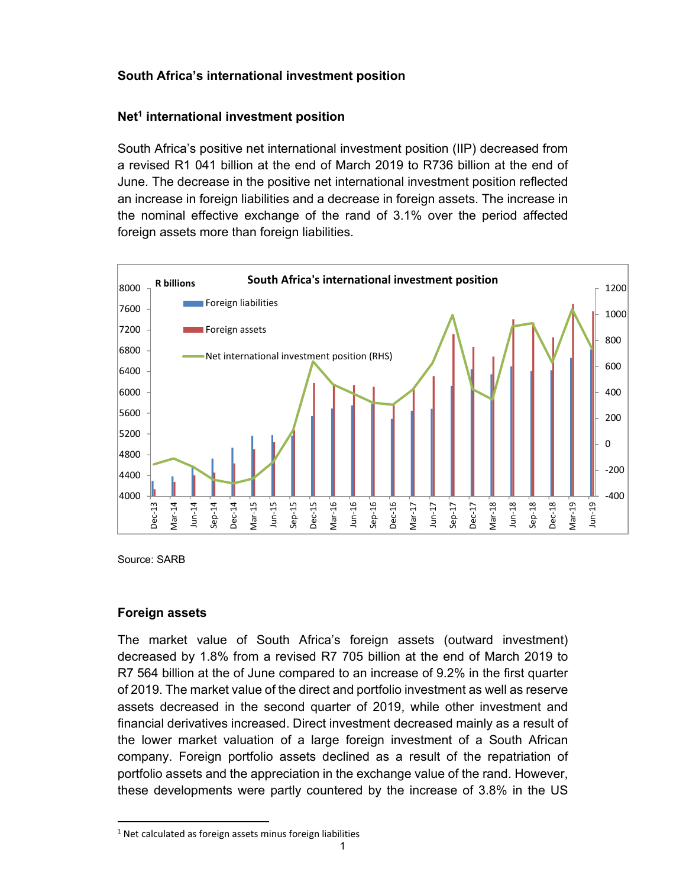# **South Africa's international investment position**

# **Net1 international investment position**

South Africa's positive net international investment position (IIP) decreased from a revised R1 041 billion at the end of March 2019 to R736 billion at the end of June. The decrease in the positive net international investment position reflected an increase in foreign liabilities and a decrease in foreign assets. The increase in the nominal effective exchange of the rand of 3.1% over the period affected foreign assets more than foreign liabilities.



Source: SARB

### **Foreign assets**

 $\ddot{ }$ 

The market value of South Africa's foreign assets (outward investment) decreased by 1.8% from a revised R7 705 billion at the end of March 2019 to R7 564 billion at the of June compared to an increase of 9.2% in the first quarter of 2019. The market value of the direct and portfolio investment as well as reserve assets decreased in the second quarter of 2019, while other investment and financial derivatives increased. Direct investment decreased mainly as a result of the lower market valuation of a large foreign investment of a South African company. Foreign portfolio assets declined as a result of the repatriation of portfolio assets and the appreciation in the exchange value of the rand. However, these developments were partly countered by the increase of 3.8% in the US

<sup>&</sup>lt;sup>1</sup> Net calculated as foreign assets minus foreign liabilities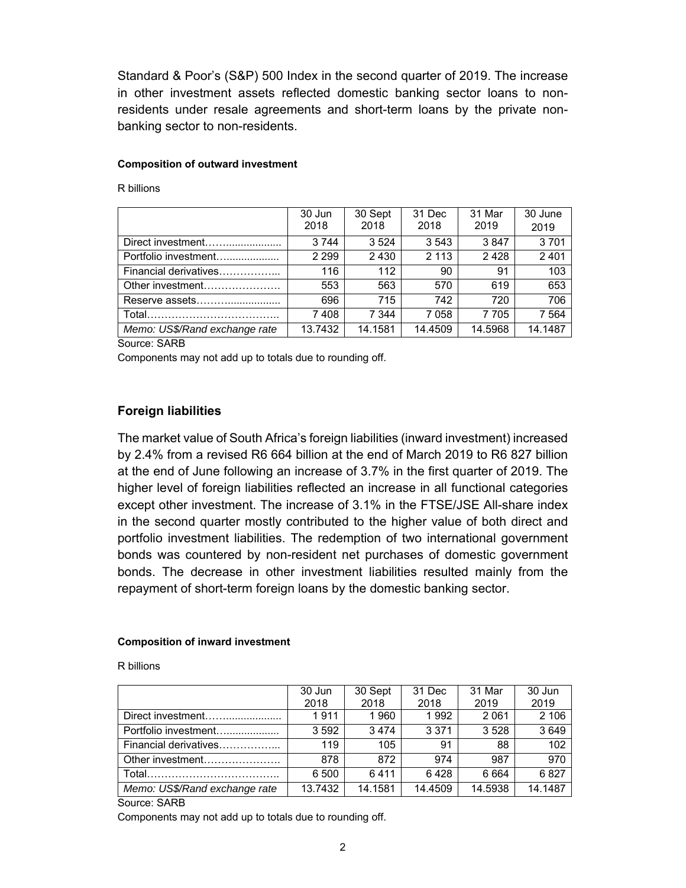Standard & Poor's (S&P) 500 Index in the second quarter of 2019. The increase in other investment assets reflected domestic banking sector loans to nonresidents under resale agreements and short-term loans by the private nonbanking sector to non-residents.

#### **Composition of outward investment**

R billions

|                               | 30 Jun<br>2018 | 30 Sept<br>2018 | 31 Dec<br>2018 | 31 Mar<br>2019 | 30 June<br>2019 |
|-------------------------------|----------------|-----------------|----------------|----------------|-----------------|
| Direct investment             | 3 744          | 3524            | 3 5 4 3        | 3847           | 3701            |
| Portfolio investment          | 2 2 9 9        | 2430            | 2 1 1 3        | 2428           | 2 4 0 1         |
| Financial derivatives         | 116            | 112             | 90             | 91             | 103             |
| Other investment              | 553            | 563             | 570            | 619            | 653             |
| Reserve assets                | 696            | 715             | 742            | 720            | 706             |
|                               | 7408           | 7 344           | 7058           | 7 7 0 5        | 7 5 64          |
| Memo: US\$/Rand exchange rate | 13.7432        | 14.1581         | 14.4509        | 14.5968        | 14.1487         |

Source: SARB

Components may not add up to totals due to rounding off.

### **Foreign liabilities**

The market value of South Africa's foreign liabilities (inward investment) increased by 2.4% from a revised R6 664 billion at the end of March 2019 to R6 827 billion at the end of June following an increase of 3.7% in the first quarter of 2019. The higher level of foreign liabilities reflected an increase in all functional categories except other investment. The increase of 3.1% in the FTSE/JSE All-share index in the second quarter mostly contributed to the higher value of both direct and portfolio investment liabilities. The redemption of two international government bonds was countered by non-resident net purchases of domestic government bonds. The decrease in other investment liabilities resulted mainly from the repayment of short-term foreign loans by the domestic banking sector.

#### **Composition of inward investment**

R billions

|                               | 30 Jun<br>2018 | 30 Sept<br>2018 | 31 Dec<br>2018 | 31 Mar<br>2019 | 30 Jun<br>2019 |
|-------------------------------|----------------|-----------------|----------------|----------------|----------------|
| Direct investment             | 1911           | 1960            | 1992           | 2061           | 2 10 6         |
| Portfolio investment          | 3592           | 3474            | 3 3 7 1        | 3528           | 3649           |
| Financial derivatives         | 119            | 105             | 91             | 88             | 102            |
| Other investment              | 878            | 872             | 974            | 987            | 970            |
|                               | 6 500          | 6411            | 6428           | 6 6 6 4        | 6827           |
| Memo: US\$/Rand exchange rate | 13.7432        | 14.1581         | 14.4509        | 14.5938        | 14.1487        |

Source: SARB

Components may not add up to totals due to rounding off.